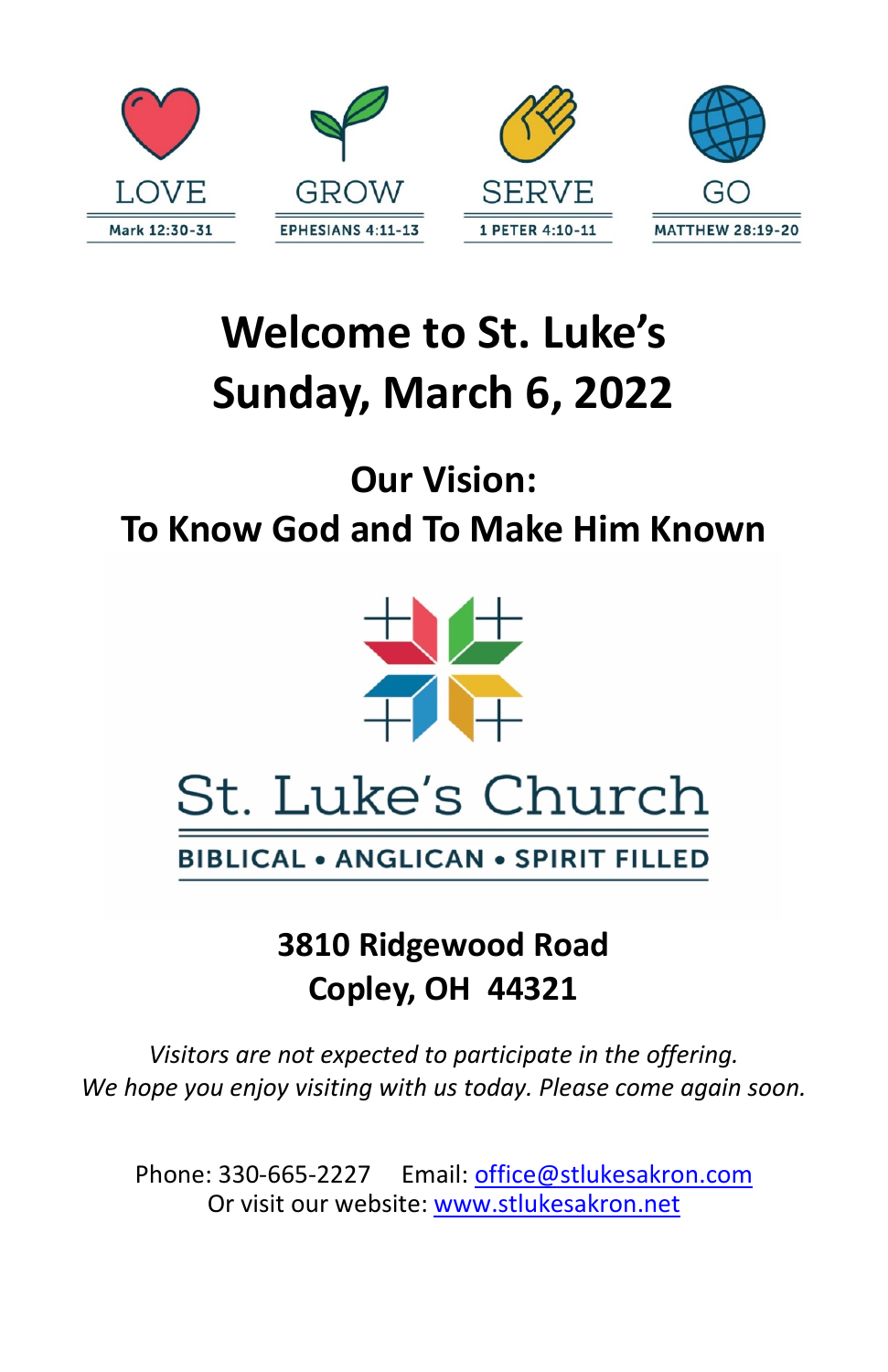

# **Welcome to St. Luke's Sunday, March 6, 2022**

# **Our Vision:**

**To Know God and To Make Him Known**



# St. Luke's Church

**BIBLICAL • ANGLICAN • SPIRIT FILLED** 

**3810 Ridgewood Road Copley, OH 44321**

*Visitors are not expected to participate in the offering. We hope you enjoy visiting with us today. Please come again soon.* 

Phone: 330-665-2227 Email: [office@stlukesakron.com](mailto:office@stlukesakron.com) Or visit our website: [www.stlukesakron.net](http://www.stlukesakron.net/)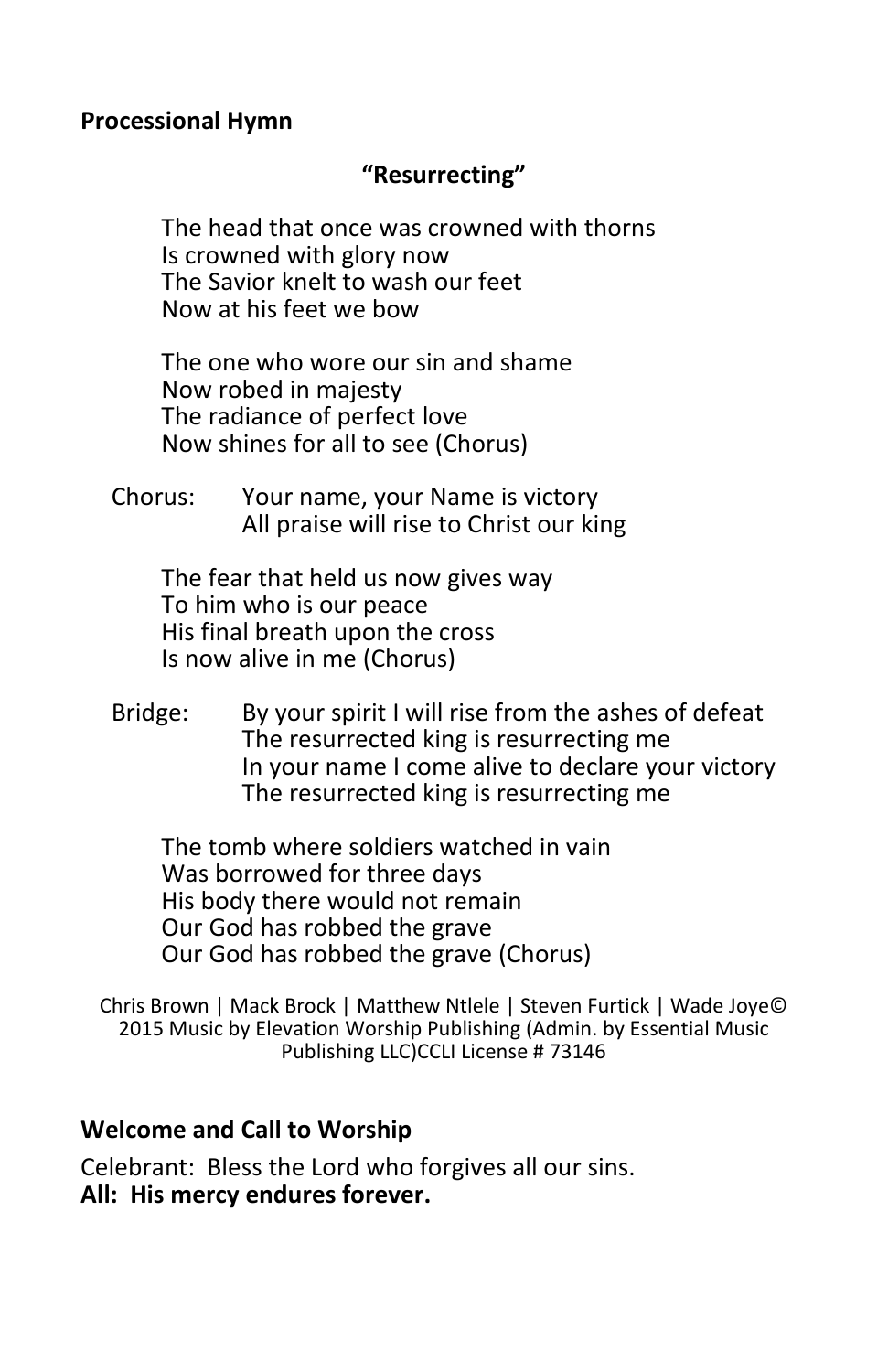#### **Processional Hymn**

#### **"Resurrecting"**

The head that once was crowned with thorns Is crowned with glory now The Savior knelt to wash our feet Now at his feet we bow

The one who wore our sin and shame Now robed in majesty The radiance of perfect love Now shines for all to see (Chorus)

 Chorus: Your name, your Name is victory All praise will rise to Christ our king

The fear that held us now gives way To him who is our peace His final breath upon the cross Is now alive in me (Chorus)

 Bridge: By your spirit I will rise from the ashes of defeat The resurrected king is resurrecting me In your name I come alive to declare your victory The resurrected king is resurrecting me

The tomb where soldiers watched in vain Was borrowed for three days His body there would not remain Our God has robbed the grave Our God has robbed the grave (Chorus)

Chris Brown | Mack Brock | Matthew Ntlele | Steven Furtick | Wade Joye© 2015 Music by Elevation Worship Publishing (Admin. by Essential Music Publishing LLC)CCLI License # 73146

#### **Welcome and Call to Worship**

Celebrant: Bless the Lord who forgives all our sins. **All: His mercy endures forever.**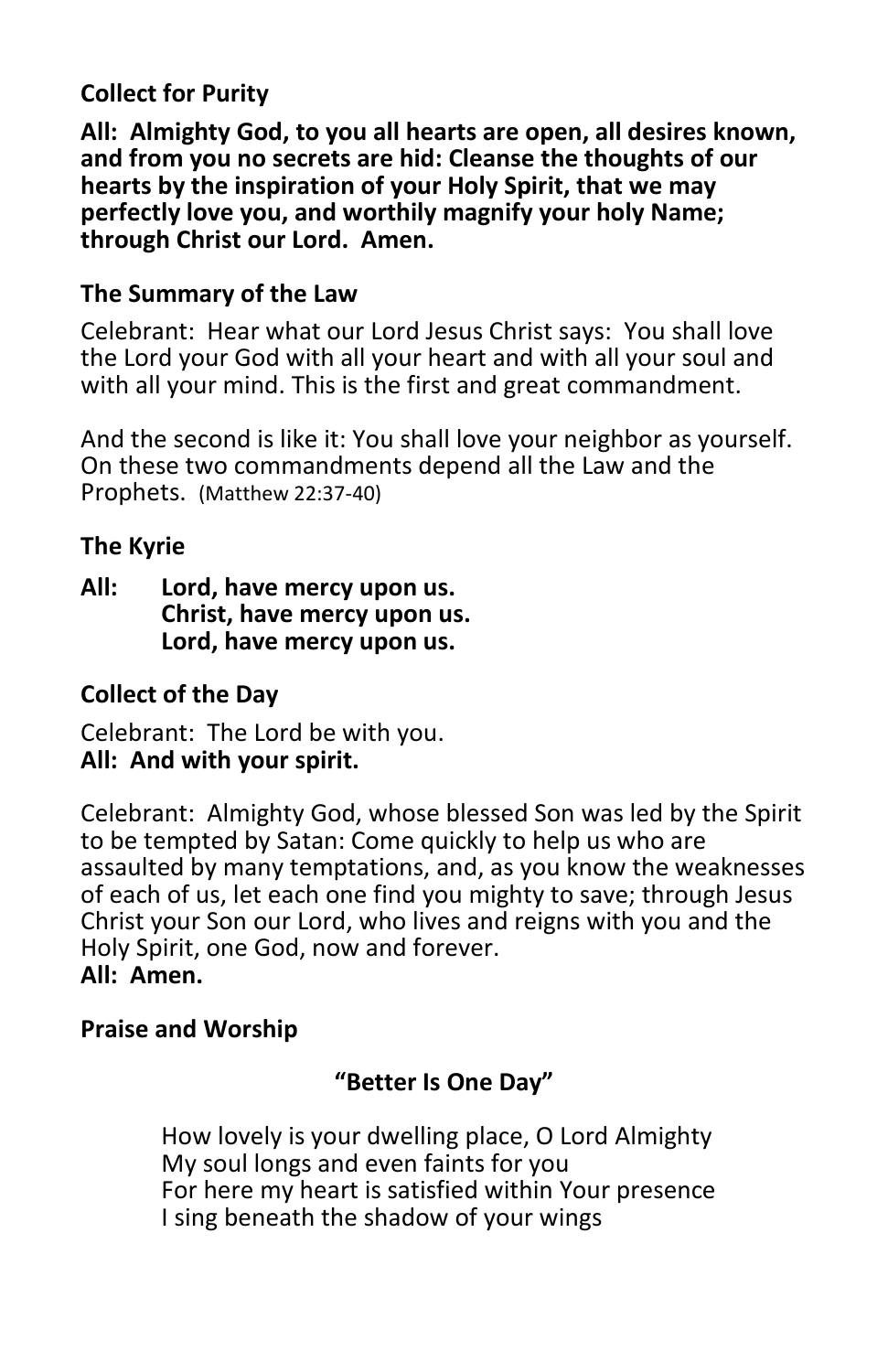## **Collect for Purity**

**All: Almighty God, to you all hearts are open, all desires known, and from you no secrets are hid: Cleanse the thoughts of our hearts by the inspiration of your Holy Spirit, that we may perfectly love you, and worthily magnify your holy Name; through Christ our Lord. Amen.**

## **The Summary of the Law**

Celebrant: Hear what our Lord Jesus Christ says: You shall love the Lord your God with all your heart and with all your soul and with all your mind. This is the first and great commandment.

And the second is like it: You shall love your neighbor as yourself. On these two commandments depend all the Law and the Prophets. (Matthew 22:37-40)

## **The Kyrie**

**All: Lord, have mercy upon us. Christ, have mercy upon us. Lord, have mercy upon us.**

#### **Collect of the Day**

Celebrant: The Lord be with you. **All: And with your spirit.**

Celebrant: Almighty God, whose blessed Son was led by the Spirit to be tempted by Satan: Come quickly to help us who are assaulted by many temptations, and, as you know the weaknesses of each of us, let each one find you mighty to save; through Jesus Christ your Son our Lord, who lives and reigns with you and the Holy Spirit, one God, now and forever. **All: Amen.**

#### **Praise and Worship**

# **"Better Is One Day"**

How lovely is your dwelling place, O Lord Almighty My soul longs and even faints for you For here my heart is satisfied within Your presence I sing beneath the shadow of your wings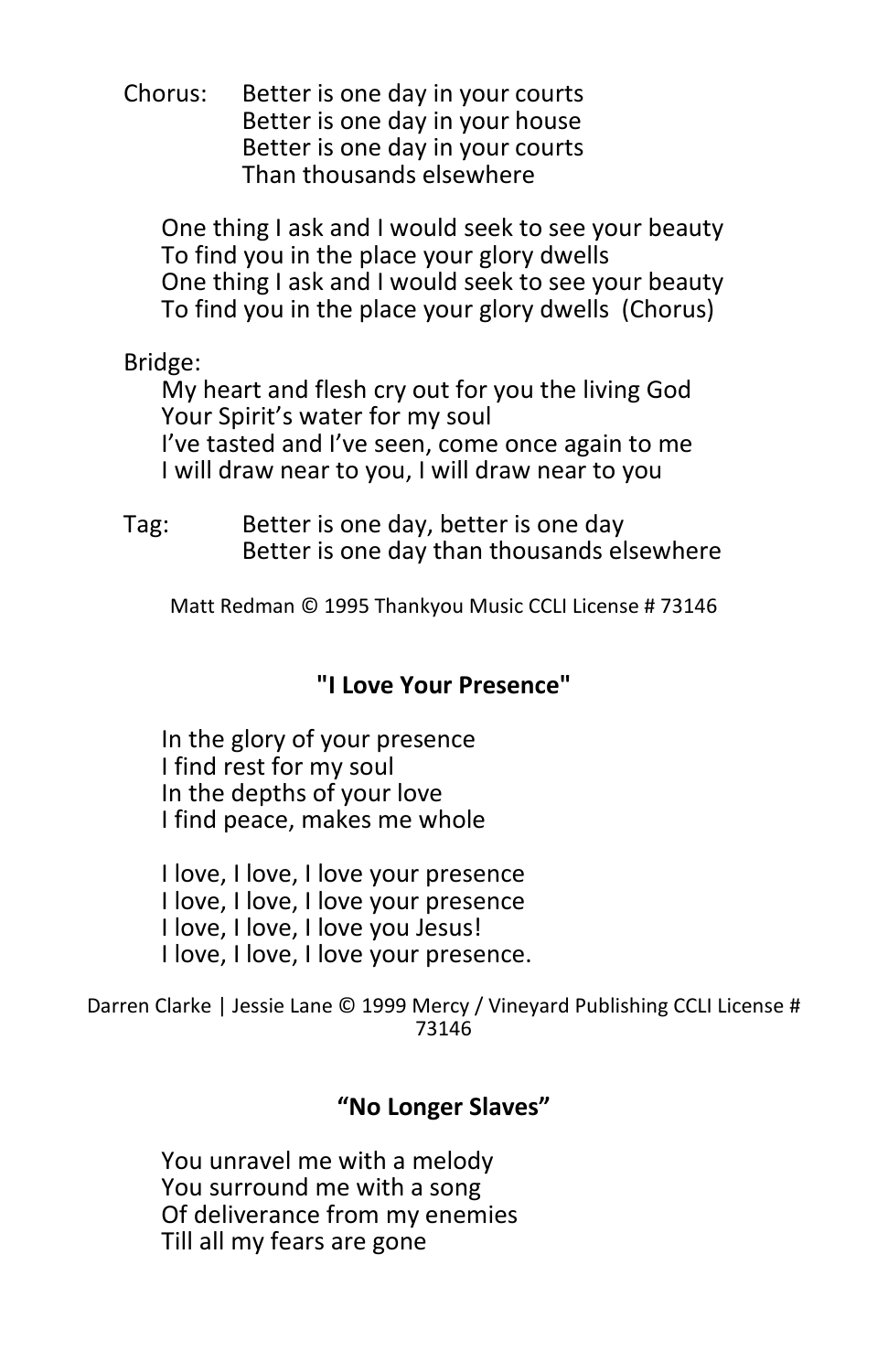Chorus: Better is one day in your courts Better is one day in your house Better is one day in your courts Than thousands elsewhere

One thing I ask and I would seek to see your beauty To find you in the place your glory dwells One thing I ask and I would seek to see your beauty To find you in the place your glory dwells (Chorus)

Bridge:

My heart and flesh cry out for you the living God Your Spirit's water for my soul I've tasted and I've seen, come once again to me I will draw near to you, I will draw near to you

 Tag: Better is one day, better is one day Better is one day than thousands elsewhere

Matt Redman © 1995 Thankyou Music CCLI License # 73146

#### **"I Love Your Presence"**

In the glory of your presence I find rest for my soul In the depths of your love I find peace, makes me whole

I love, I love, I love your presence I love, I love, I love your presence I love, I love, I love you Jesus! I love, I love, I love your presence.

Darren Clarke | Jessie Lane © 1999 Mercy / Vineyard Publishing CCLI License # 73146

#### **"No Longer Slaves"**

You unravel me with a melody You surround me with a song Of deliverance from my enemies Till all my fears are gone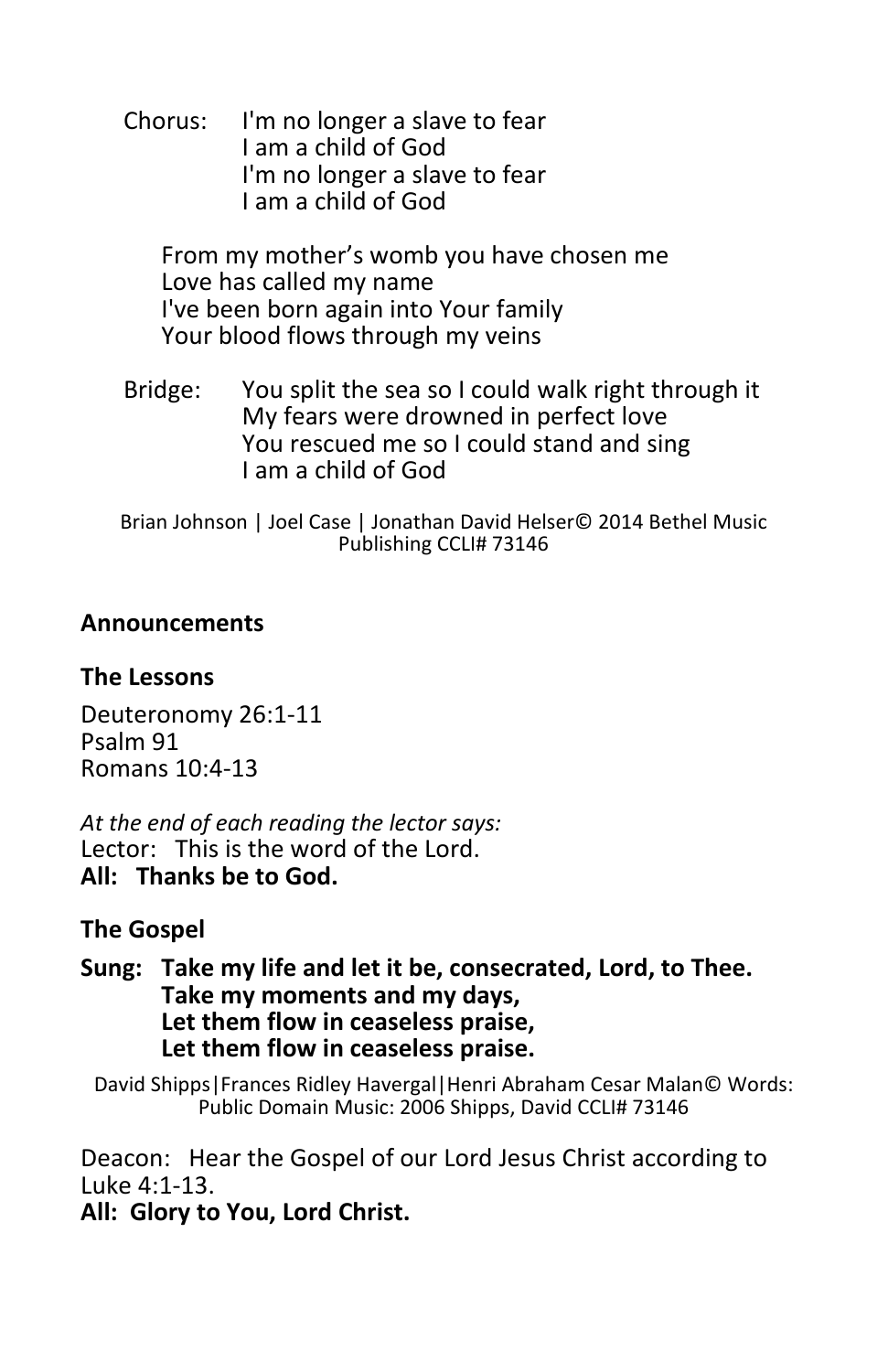Chorus: I'm no longer a slave to fear I am a child of God I'm no longer a slave to fear I am a child of God

From my mother's womb you have chosen me Love has called my name I've been born again into Your family Your blood flows through my veins

 Bridge: You split the sea so I could walk right through it My fears were drowned in perfect love You rescued me so I could stand and sing I am a child of God

Brian Johnson | Joel Case | Jonathan David Helser© 2014 Bethel Music Publishing CCLI# 73146

#### **Announcements**

#### **The Lessons**

Deuteronomy 26:1-11 Psalm 91 Romans 10:4-13

*At the end of each reading the lector says:* Lector: This is the word of the Lord. **All: Thanks be to God.** 

**The Gospel**

#### **Sung: Take my life and let it be, consecrated, Lord, to Thee. Take my moments and my days, Let them flow in ceaseless praise, Let them flow in ceaseless praise.**

David Shipps|Frances Ridley Havergal|Henri Abraham Cesar Malan© Words: Public Domain Music: 2006 Shipps, David CCLI# 73146

Deacon: Hear the Gospel of our Lord Jesus Christ according to Luke 4:1-13.

**All: Glory to You, Lord Christ.**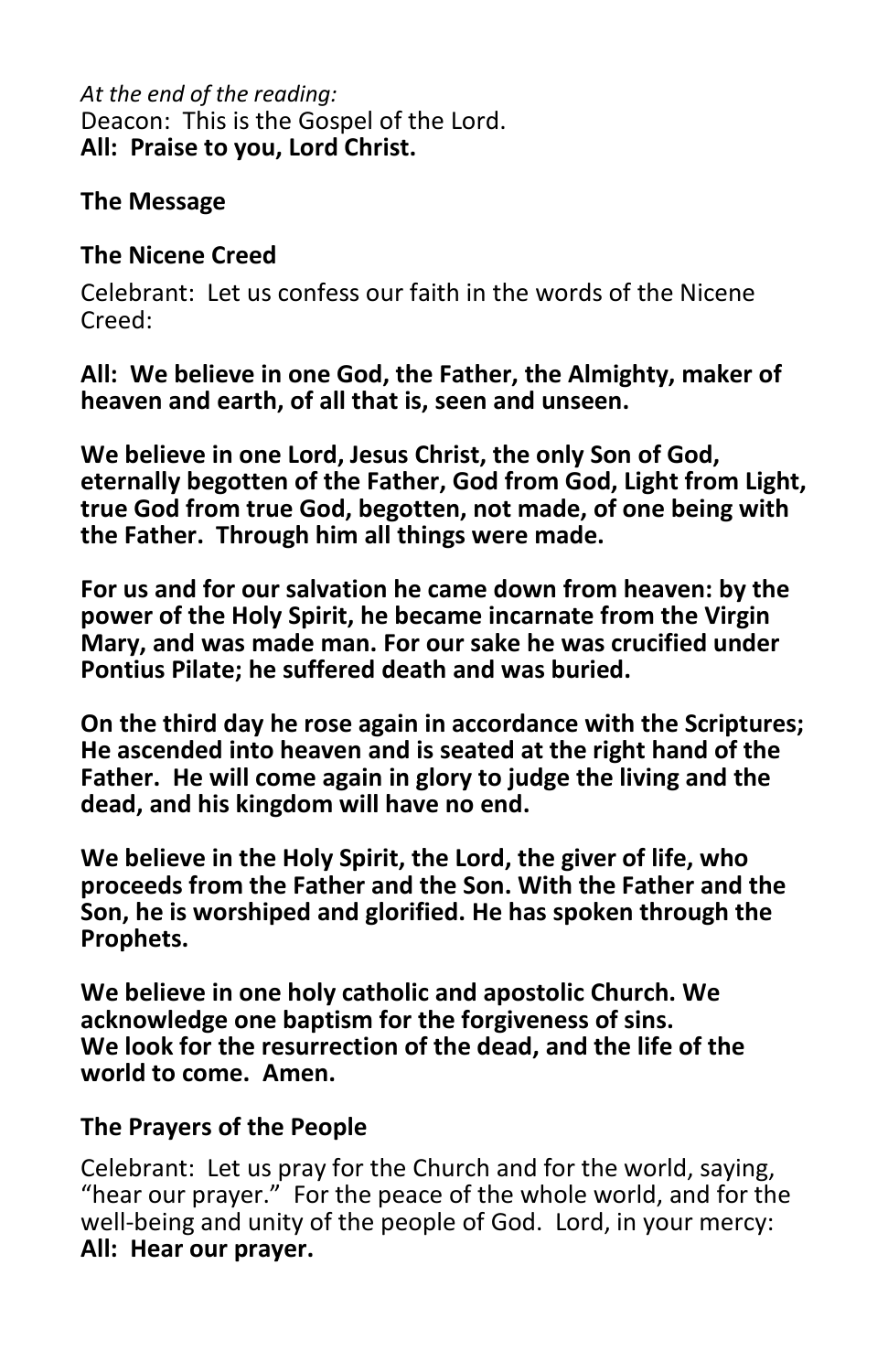*At the end of the reading:* Deacon: This is the Gospel of the Lord. **All: Praise to you, Lord Christ.**

#### **The Message**

#### **The Nicene Creed**

Celebrant: Let us confess our faith in the words of the Nicene Creed:

**All: We believe in one God, the Father, the Almighty, maker of heaven and earth, of all that is, seen and unseen.** 

**We believe in one Lord, Jesus Christ, the only Son of God, eternally begotten of the Father, God from God, Light from Light, true God from true God, begotten, not made, of one being with the Father. Through him all things were made.** 

**For us and for our salvation he came down from heaven: by the power of the Holy Spirit, he became incarnate from the Virgin Mary, and was made man. For our sake he was crucified under Pontius Pilate; he suffered death and was buried.** 

**On the third day he rose again in accordance with the Scriptures; He ascended into heaven and is seated at the right hand of the Father. He will come again in glory to judge the living and the dead, and his kingdom will have no end.** 

**We believe in the Holy Spirit, the Lord, the giver of life, who proceeds from the Father and the Son. With the Father and the Son, he is worshiped and glorified. He has spoken through the Prophets.** 

**We believe in one holy catholic and apostolic Church. We acknowledge one baptism for the forgiveness of sins. We look for the resurrection of the dead, and the life of the world to come. Amen.**

#### **The Prayers of the People**

Celebrant: Let us pray for the Church and for the world, saying, "hear our prayer." For the peace of the whole world, and for the well-being and unity of the people of God. Lord, in your mercy: **All: Hear our prayer.**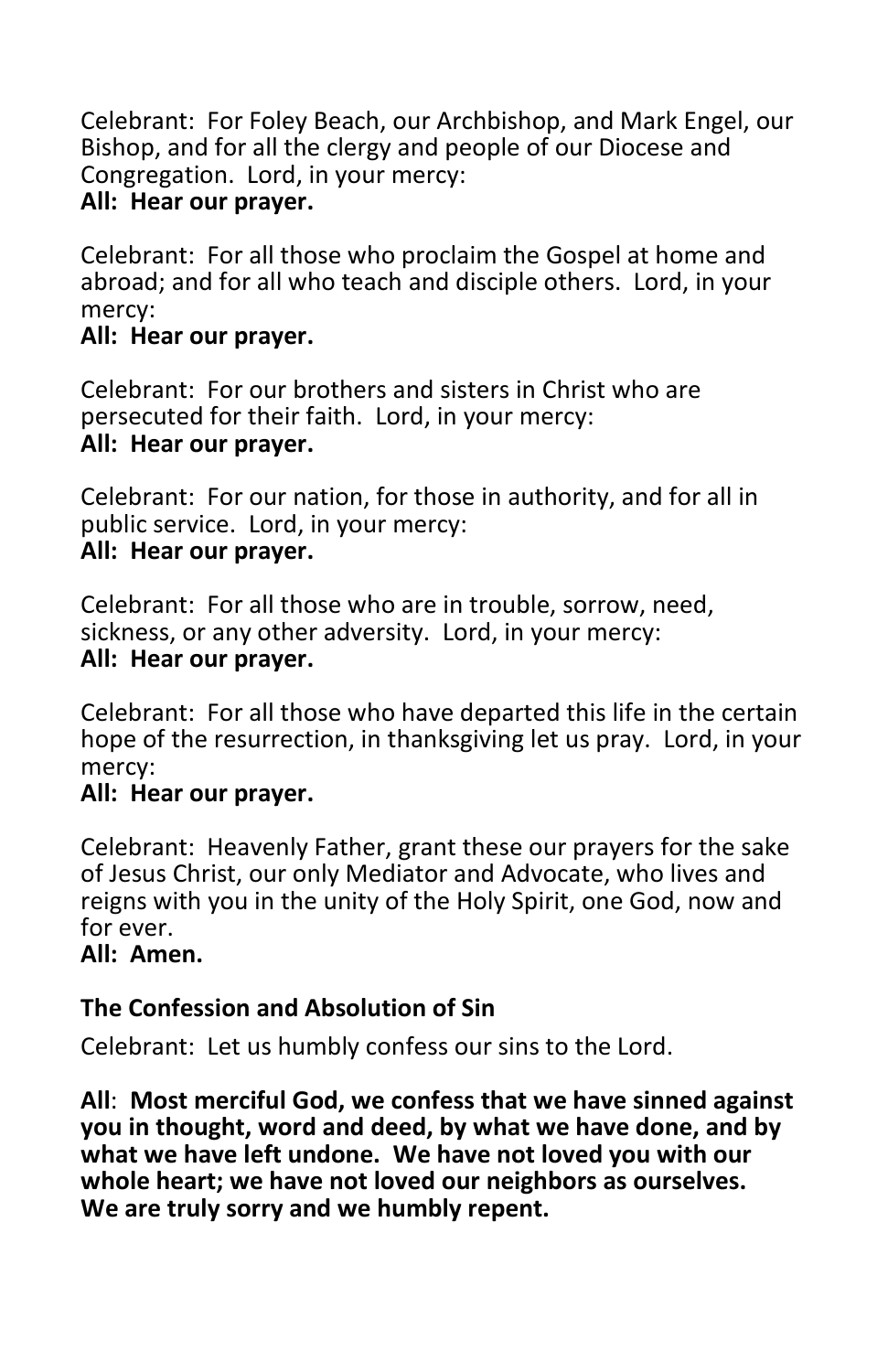Celebrant: For Foley Beach, our Archbishop, and Mark Engel, our Bishop, and for all the clergy and people of our Diocese and Congregation. Lord, in your mercy:

# **All: Hear our prayer.**

Celebrant: For all those who proclaim the Gospel at home and abroad; and for all who teach and disciple others. Lord, in your mercy:

#### **All: Hear our prayer.**

Celebrant: For our brothers and sisters in Christ who are persecuted for their faith. Lord, in your mercy: **All: Hear our prayer.** 

Celebrant: For our nation, for those in authority, and for all in public service. Lord, in your mercy: **All: Hear our prayer.** 

Celebrant: For all those who are in trouble, sorrow, need, sickness, or any other adversity. Lord, in your mercy: **All: Hear our prayer.** 

Celebrant: For all those who have departed this life in the certain hope of the resurrection, in thanksgiving let us pray. Lord, in your mercy:

#### **All: Hear our prayer.**

Celebrant: Heavenly Father, grant these our prayers for the sake of Jesus Christ, our only Mediator and Advocate, who lives and reigns with you in the unity of the Holy Spirit, one God, now and for ever.

#### **All: Amen.**

#### **The Confession and Absolution of Sin**

Celebrant: Let us humbly confess our sins to the Lord.

**All**: **Most merciful God, we confess that we have sinned against you in thought, word and deed, by what we have done, and by what we have left undone. We have not loved you with our whole heart; we have not loved our neighbors as ourselves. We are truly sorry and we humbly repent.**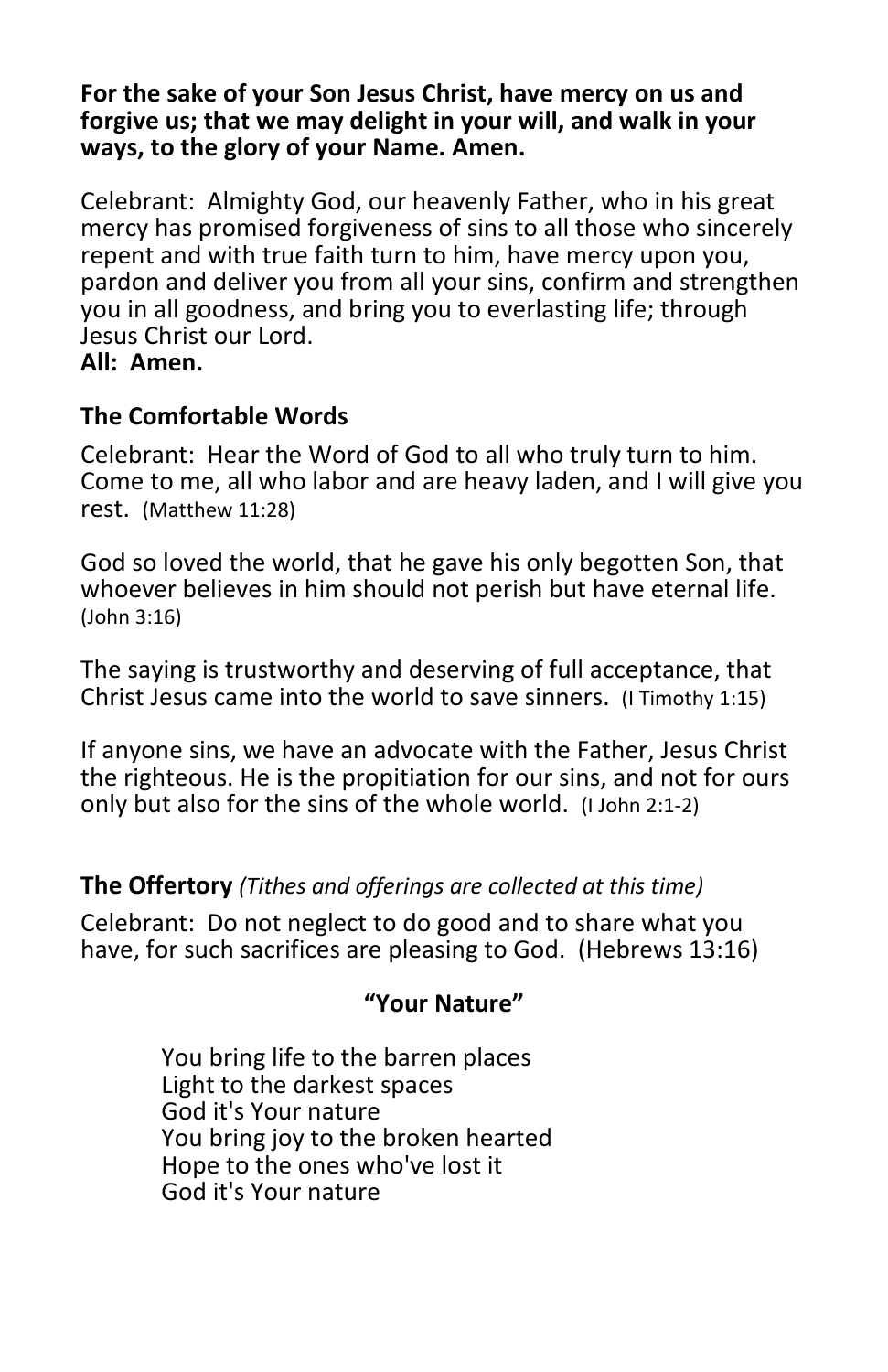**For the sake of your Son Jesus Christ, have mercy on us and forgive us; that we may delight in your will, and walk in your ways, to the glory of your Name. Amen.**

Celebrant: Almighty God, our heavenly Father, who in his great mercy has promised forgiveness of sins to all those who sincerely repent and with true faith turn to him, have mercy upon you, pardon and deliver you from all your sins, confirm and strengthen you in all goodness, and bring you to everlasting life; through Jesus Christ our Lord. **All: Amen.**

#### **The Comfortable Words**

Celebrant: Hear the Word of God to all who truly turn to him. Come to me, all who labor and are heavy laden, and I will give you rest. (Matthew 11:28)

God so loved the world, that he gave his only begotten Son, that whoever believes in him should not perish but have eternal life. (John 3:16)

The saying is trustworthy and deserving of full acceptance, that Christ Jesus came into the world to save sinners. (I Timothy 1:15)

If anyone sins, we have an advocate with the Father, Jesus Christ the righteous. He is the propitiation for our sins, and not for ours only but also for the sins of the whole world. (I John 2:1-2)

#### **The Offertory** *(Tithes and offerings are collected at this time)*

Celebrant: Do not neglect to do good and to share what you have, for such sacrifices are pleasing to God. (Hebrews 13:16)

#### **"Your Nature"**

You bring life to the barren places Light to the darkest spaces God it's Your nature You bring joy to the broken hearted Hope to the ones who've lost it God it's Your nature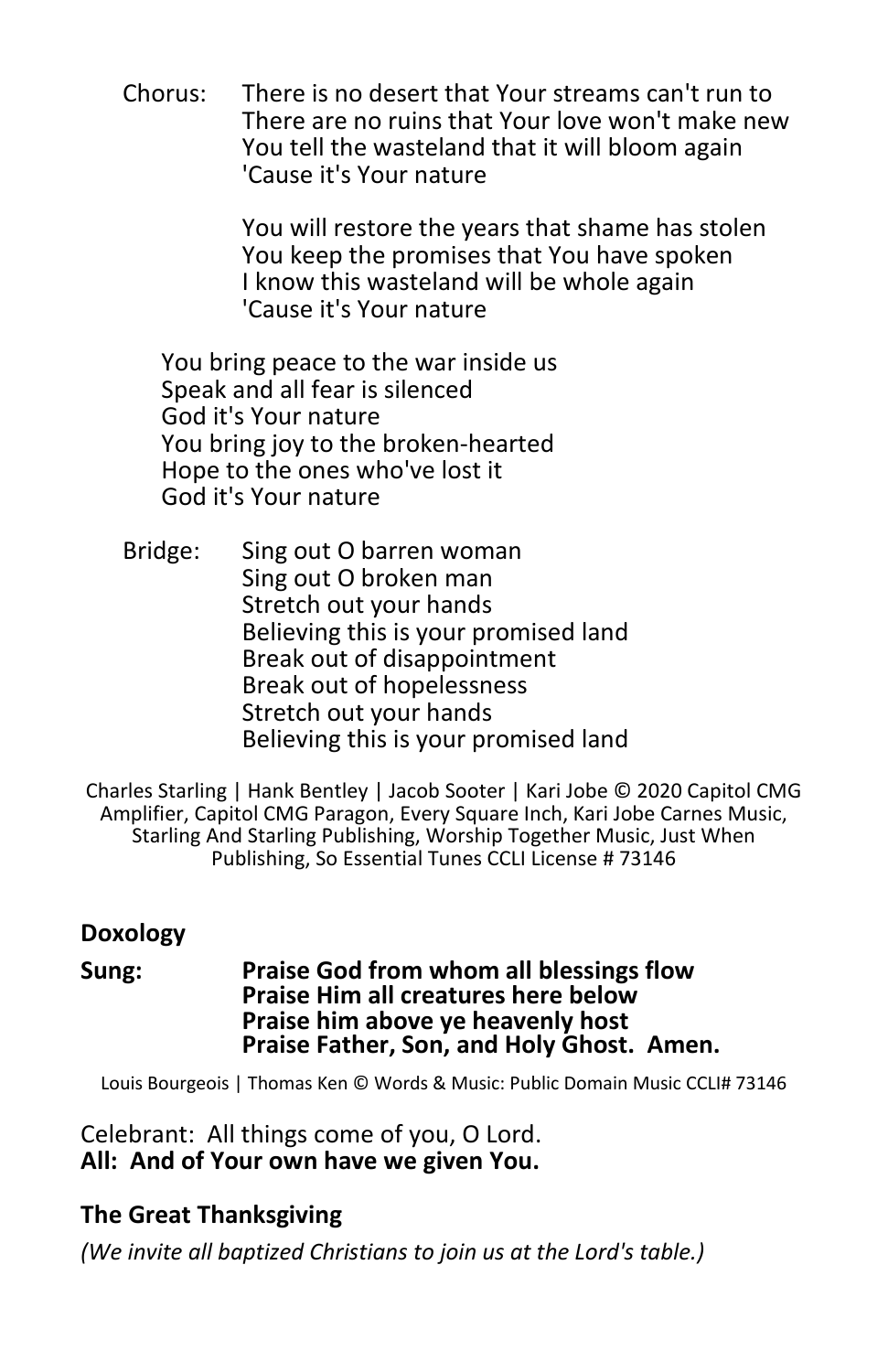Chorus: There is no desert that Your streams can't run to There are no ruins that Your love won't make new You tell the wasteland that it will bloom again 'Cause it's Your nature

> You will restore the years that shame has stolen You keep the promises that You have spoken I know this wasteland will be whole again 'Cause it's Your nature

You bring peace to the war inside us Speak and all fear is silenced God it's Your nature You bring joy to the broken-hearted Hope to the ones who've lost it God it's Your nature

Bridge: Sing out O barren woman Sing out O broken man Stretch out your hands Believing this is your promised land Break out of disappointment Break out of hopelessness Stretch out your hands Believing this is your promised land

Charles Starling | Hank Bentley | Jacob Sooter | Kari Jobe © 2020 Capitol CMG Amplifier, Capitol CMG Paragon, Every Square Inch, Kari Jobe Carnes Music, Starling And Starling Publishing, Worship Together Music, Just When Publishing, So Essential Tunes CCLI License # 73146

#### **Doxology**

**Sung: Praise God from whom all blessings flow Praise Him all creatures here below Praise him above ye heavenly host Praise Father, Son, and Holy Ghost. Amen.**

Louis Bourgeois | Thomas Ken © Words & Music: Public Domain Music CCLI# 73146

Celebrant: All things come of you, O Lord. **All: And of Your own have we given You.**

#### **The Great Thanksgiving**

*(We invite all baptized Christians to join us at the Lord's table.)*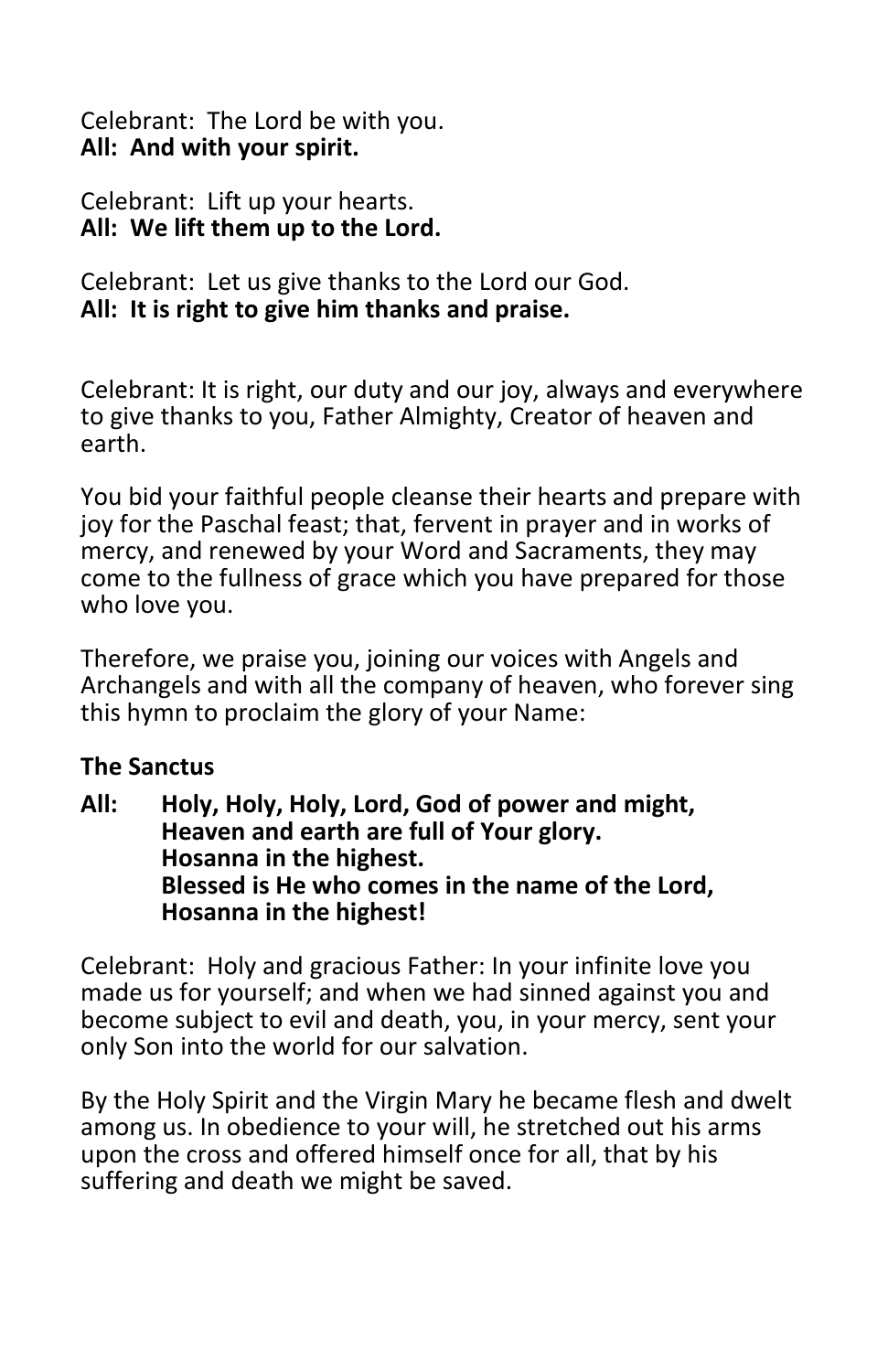Celebrant: The Lord be with you. **All: And with your spirit.**

Celebrant: Lift up your hearts. **All: We lift them up to the Lord.**

Celebrant: Let us give thanks to the Lord our God. **All: It is right to give him thanks and praise.**

Celebrant: It is right, our duty and our joy, always and everywhere to give thanks to you, Father Almighty, Creator of heaven and earth.

You bid your faithful people cleanse their hearts and prepare with joy for the Paschal feast; that, fervent in prayer and in works of mercy, and renewed by your Word and Sacraments, they may come to the fullness of grace which you have prepared for those who love you.

Therefore, we praise you, joining our voices with Angels and Archangels and with all the company of heaven, who forever sing this hymn to proclaim the glory of your Name:

#### **The Sanctus**

**All: Holy, Holy, Holy, Lord, God of power and might, Heaven and earth are full of Your glory. Hosanna in the highest. Blessed is He who comes in the name of the Lord, Hosanna in the highest!**

Celebrant: Holy and gracious Father: In your infinite love you made us for yourself; and when we had sinned against you and become subject to evil and death, you, in your mercy, sent your only Son into the world for our salvation.

By the Holy Spirit and the Virgin Mary he became flesh and dwelt among us. In obedience to your will, he stretched out his arms upon the cross and offered himself once for all, that by his suffering and death we might be saved.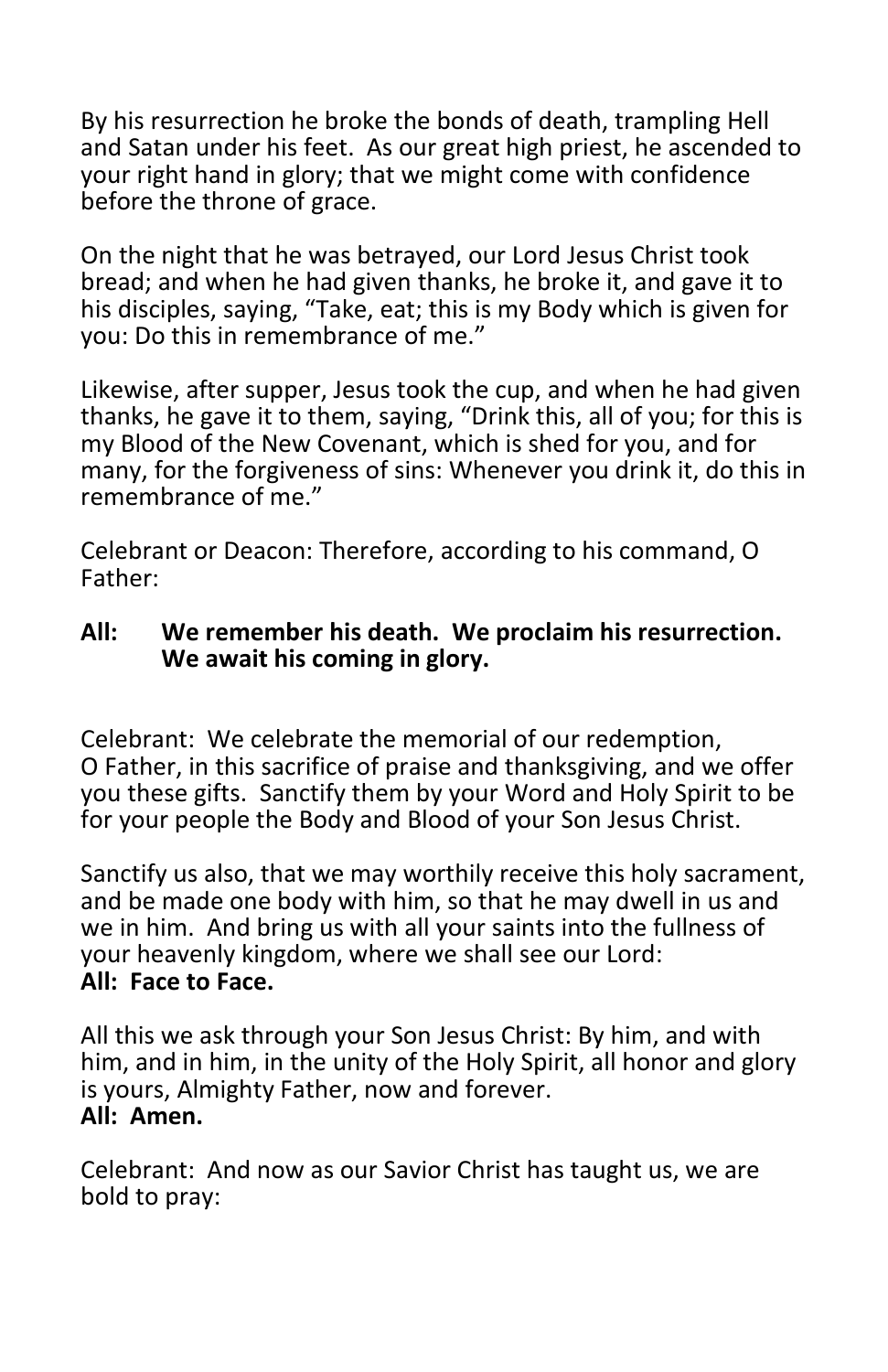By his resurrection he broke the bonds of death, trampling Hell and Satan under his feet. As our great high priest, he ascended to your right hand in glory; that we might come with confidence before the throne of grace.

On the night that he was betrayed, our Lord Jesus Christ took bread; and when he had given thanks, he broke it, and gave it to his disciples, saying, "Take, eat; this is my Body which is given for you: Do this in remembrance of me."

Likewise, after supper, Jesus took the cup, and when he had given thanks, he gave it to them, saying, "Drink this, all of you; for this is my Blood of the New Covenant, which is shed for you, and for many, for the forgiveness of sins: Whenever you drink it, do this in remembrance of me."

Celebrant or Deacon: Therefore, according to his command, O Father:

#### **All: We remember his death. We proclaim his resurrection. We await his coming in glory.**

Celebrant: We celebrate the memorial of our redemption, O Father, in this sacrifice of praise and thanksgiving, and we offer you these gifts. Sanctify them by your Word and Holy Spirit to be for your people the Body and Blood of your Son Jesus Christ.

Sanctify us also, that we may worthily receive this holy sacrament, and be made one body with him, so that he may dwell in us and we in him. And bring us with all your saints into the fullness of your heavenly kingdom, where we shall see our Lord: **All: Face to Face.**

All this we ask through your Son Jesus Christ: By him, and with him, and in him, in the unity of the Holy Spirit, all honor and glory is yours, Almighty Father, now and forever. **All: Amen.**

Celebrant: And now as our Savior Christ has taught us, we are bold to pray: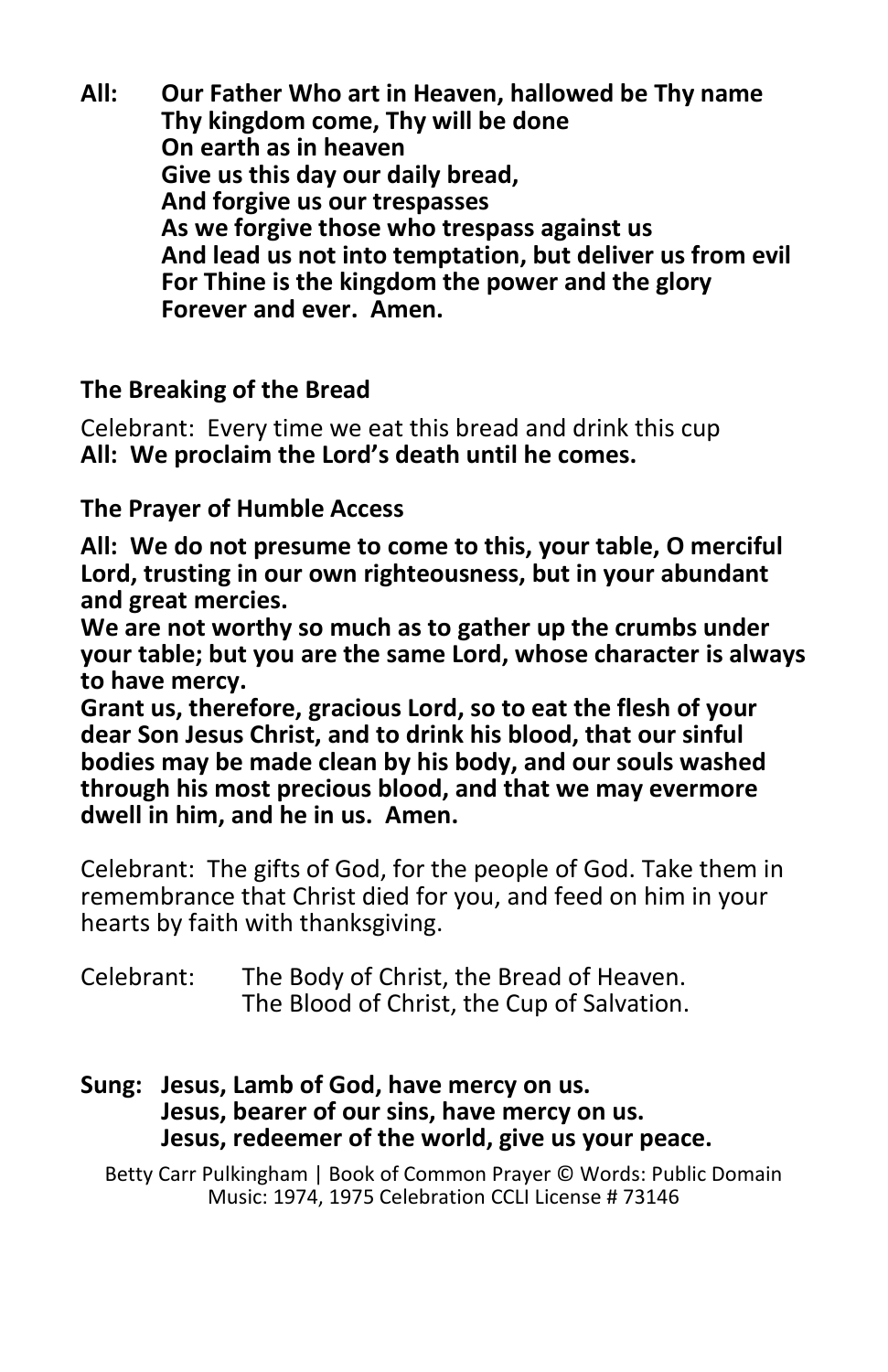**All: Our Father Who art in Heaven, hallowed be Thy name Thy kingdom come, Thy will be done On earth as in heaven Give us this day our daily bread, And forgive us our trespasses As we forgive those who trespass against us And lead us not into temptation, but deliver us from evil For Thine is the kingdom the power and the glory Forever and ever. Amen.**

#### **The Breaking of the Bread**

Celebrant: Every time we eat this bread and drink this cup **All: We proclaim the Lord's death until he comes.**

**The Prayer of Humble Access**

**All: We do not presume to come to this, your table, O merciful Lord, trusting in our own righteousness, but in your abundant and great mercies.** 

**We are not worthy so much as to gather up the crumbs under your table; but you are the same Lord, whose character is always to have mercy.** 

**Grant us, therefore, gracious Lord, so to eat the flesh of your dear Son Jesus Christ, and to drink his blood, that our sinful bodies may be made clean by his body, and our souls washed through his most precious blood, and that we may evermore dwell in him, and he in us. Amen.**

Celebrant: The gifts of God, for the people of God. Take them in remembrance that Christ died for you, and feed on him in your hearts by faith with thanksgiving.

Celebrant: The Body of Christ, the Bread of Heaven. The Blood of Christ, the Cup of Salvation.

#### **Sung: Jesus, Lamb of God, have mercy on us. Jesus, bearer of our sins, have mercy on us. Jesus, redeemer of the world, give us your peace.**

Betty Carr Pulkingham | Book of Common Prayer © Words: Public Domain Music: 1974, 1975 Celebration CCLI License # 73146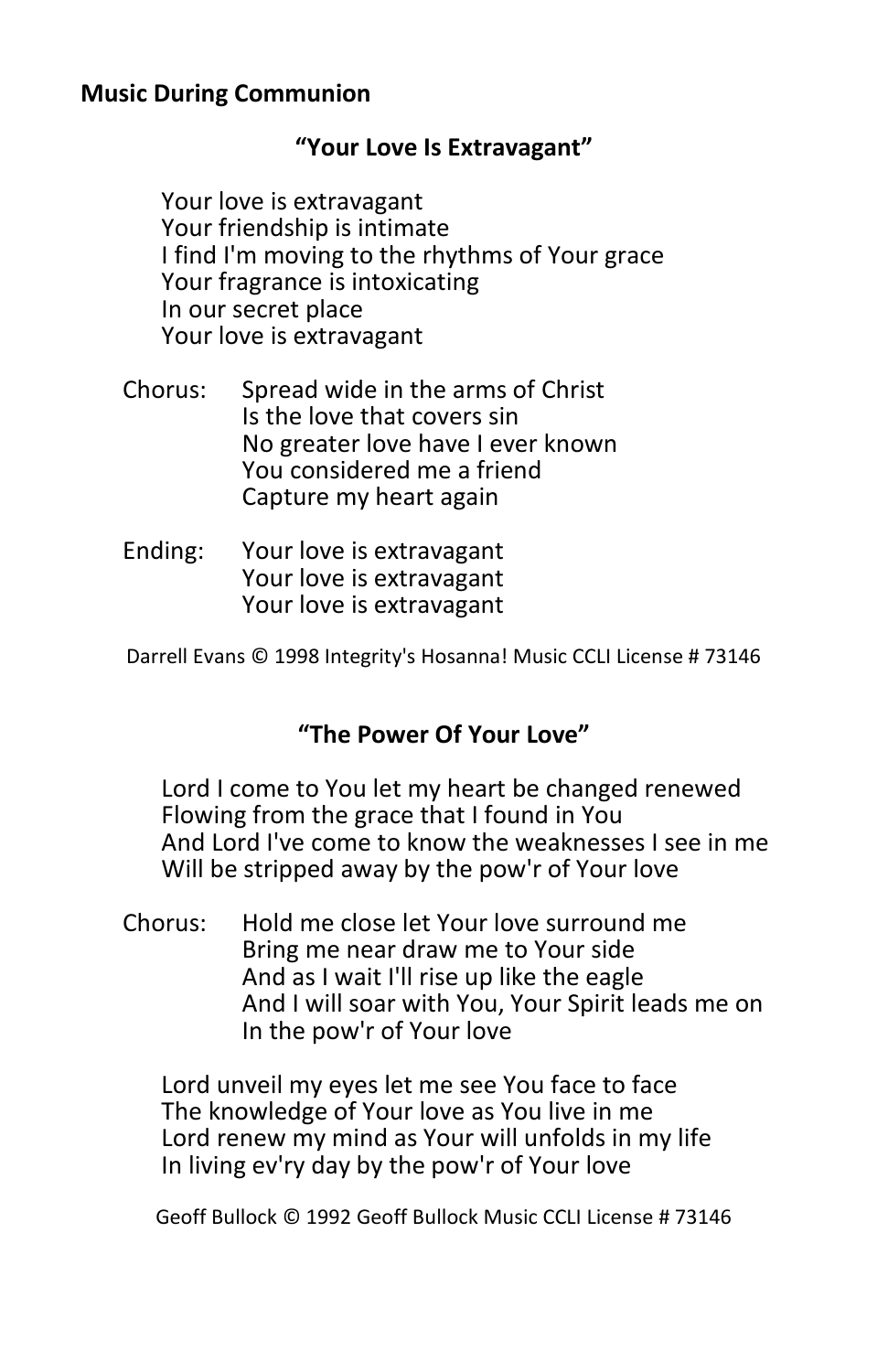#### **Music During Communion**

#### **"Your Love Is Extravagant"**

Your love is extravagant Your friendship is intimate I find I'm moving to the rhythms of Your grace Your fragrance is intoxicating In our secret place Your love is extravagant

- Chorus: Spread wide in the arms of Christ Is the love that covers sin No greater love have I ever known You considered me a friend Capture my heart again
- Ending: Your love is extravagant Your love is extravagant Your love is extravagant

Darrell Evans © 1998 Integrity's Hosanna! Music CCLI License # 73146

#### **"The Power Of Your Love"**

Lord I come to You let my heart be changed renewed Flowing from the grace that I found in You And Lord I've come to know the weaknesses I see in me Will be stripped away by the pow'r of Your love

Chorus: Hold me close let Your love surround me Bring me near draw me to Your side And as I wait I'll rise up like the eagle And I will soar with You, Your Spirit leads me on In the pow'r of Your love

Lord unveil my eyes let me see You face to face The knowledge of Your love as You live in me Lord renew my mind as Your will unfolds in my life In living ev'ry day by the pow'r of Your love

Geoff Bullock © 1992 Geoff Bullock Music CCLI License # 73146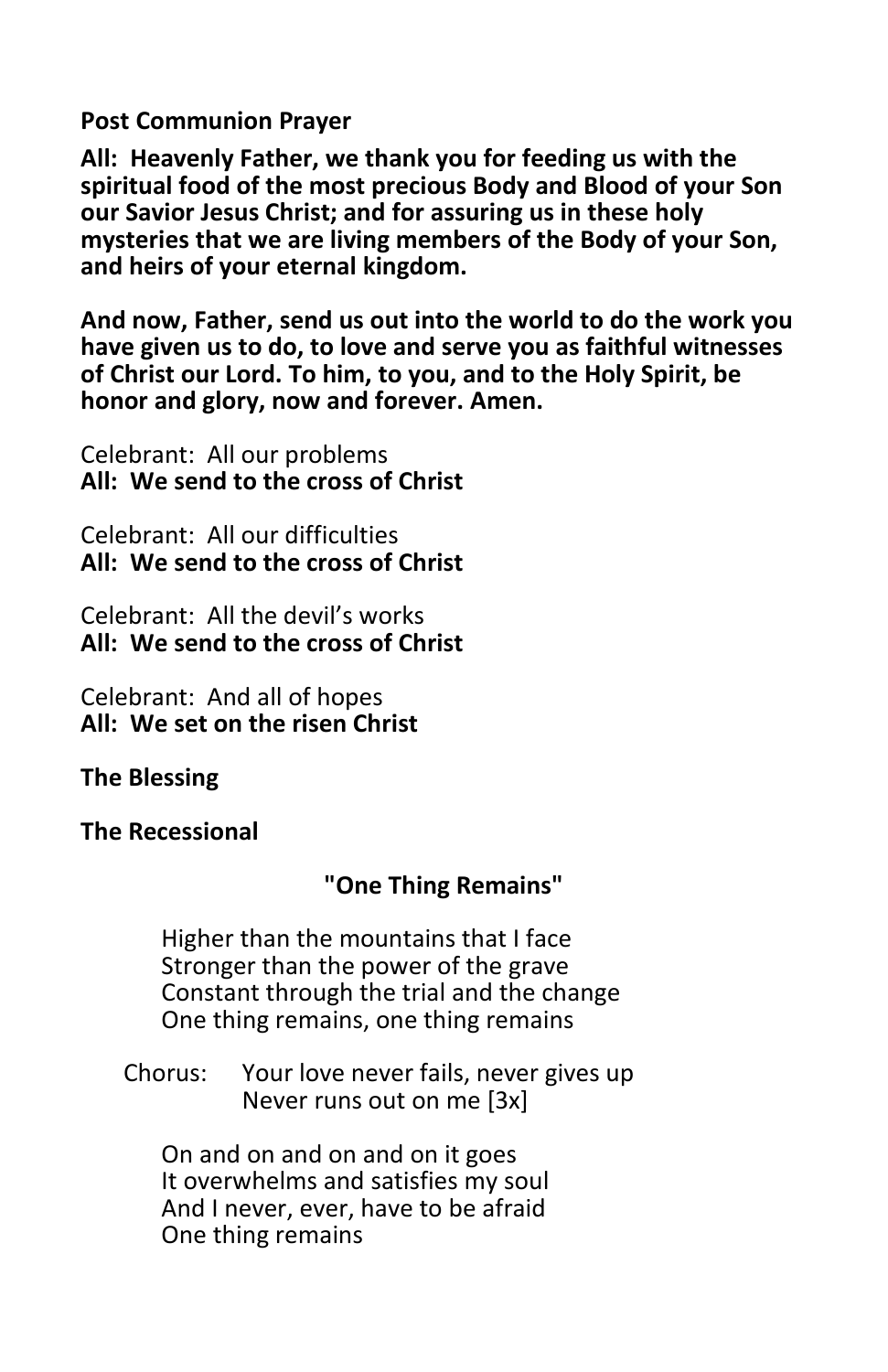**Post Communion Prayer**

**All: Heavenly Father, we thank you for feeding us with the spiritual food of the most precious Body and Blood of your Son our Savior Jesus Christ; and for assuring us in these holy mysteries that we are living members of the Body of your Son, and heirs of your eternal kingdom.** 

**And now, Father, send us out into the world to do the work you have given us to do, to love and serve you as faithful witnesses of Christ our Lord. To him, to you, and to the Holy Spirit, be honor and glory, now and forever. Amen.**

Celebrant: All our problems **All: We send to the cross of Christ**

Celebrant: All our difficulties **All: We send to the cross of Christ**

Celebrant: All the devil's works **All: We send to the cross of Christ**

Celebrant: And all of hopes **All: We set on the risen Christ**

**The Blessing**

**The Recessional** 

#### **"One Thing Remains"**

Higher than the mountains that I face Stronger than the power of the grave Constant through the trial and the change One thing remains, one thing remains

 Chorus: Your love never fails, never gives up Never runs out on me [3x]

On and on and on and on it goes It overwhelms and satisfies my soul And I never, ever, have to be afraid One thing remains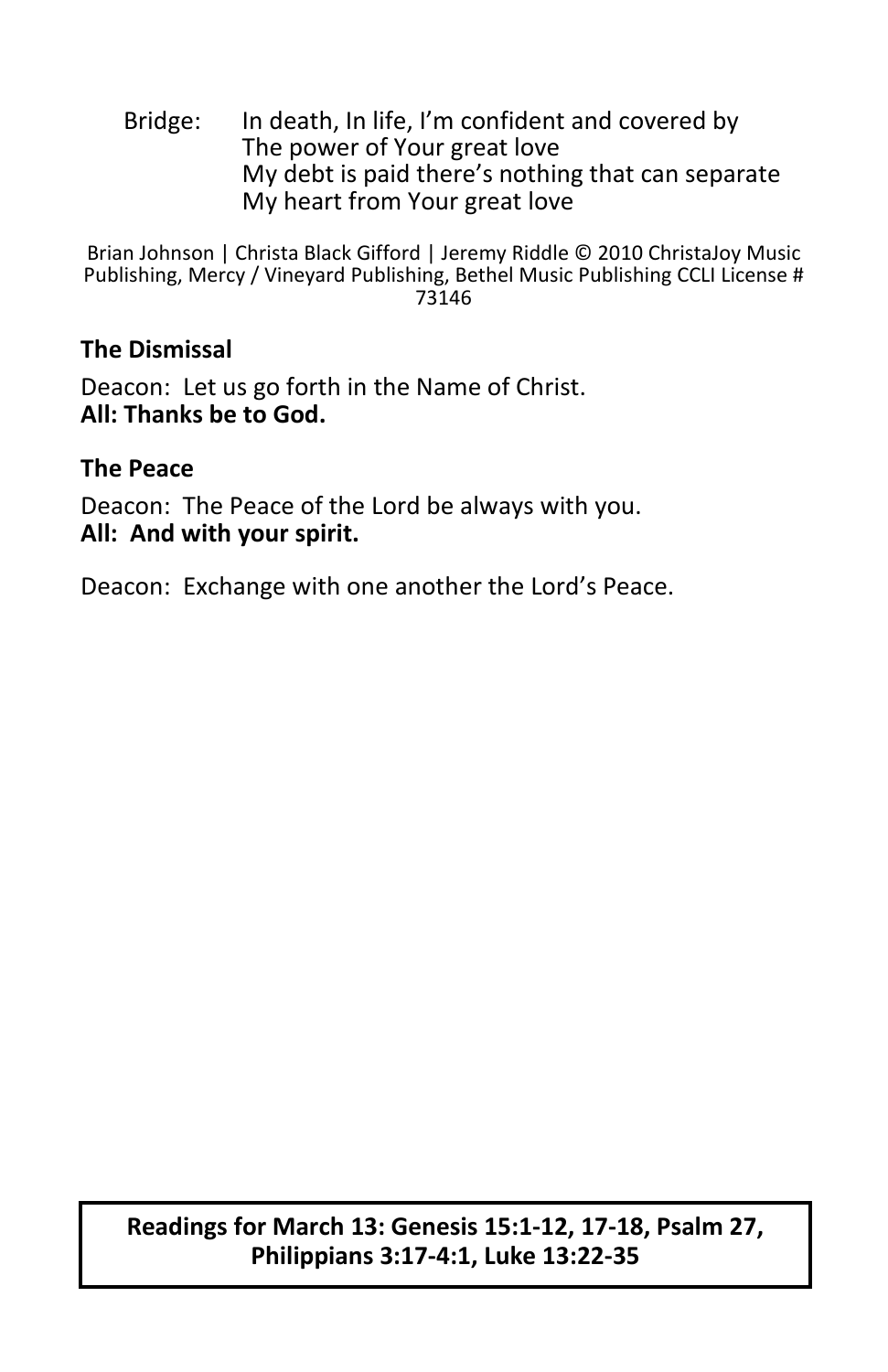#### Bridge: In death, In life, I'm confident and covered by The power of Your great love My debt is paid there's nothing that can separate My heart from Your great love

Brian Johnson | Christa Black Gifford | Jeremy Riddle © 2010 ChristaJoy Music Publishing, Mercy / Vineyard Publishing, Bethel Music Publishing CCLI License # 73146

#### **The Dismissal**

Deacon: Let us go forth in the Name of Christ. **All: Thanks be to God.**

#### **The Peace**

Deacon:The Peace of the Lord be always with you. **All: And with your spirit.**

Deacon: Exchange with one another the Lord's Peace.

**Readings for March 13: Genesis 15:1-12, 17-18, Psalm 27, Philippians 3:17-4:1, Luke 13:22-35**